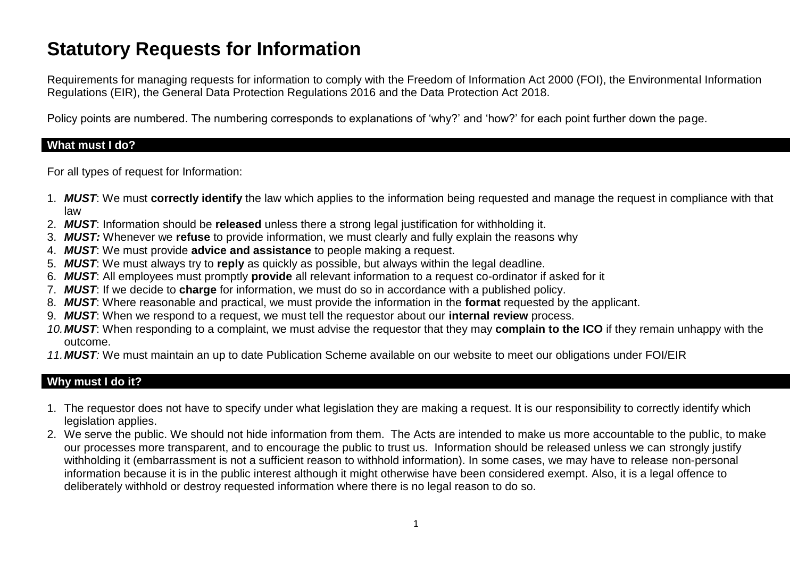# **Statutory Requests for Information**

Requirements for managing requests for information to comply with the Freedom of Information Act 2000 (FOI), the Environmental Information Regulations (EIR), the General Data Protection Regulations 2016 and the Data Protection Act 2018.

Policy points are numbered. The numbering corresponds to explanations of 'why?' and 'how?' for each point further down the page.

#### **What must I do?**

For all types of request for Information:

- 1. *MUST*: We must **correctly identify** the law which applies to the information being requested and manage the request in compliance with that law
- 2. *MUST*: Information should be **released** unless there a strong legal justification for withholding it.
- 3. *MUST:* Whenever we **refuse** to provide information, we must clearly and fully explain the reasons why
- 4. *MUST*: We must provide **advice and assistance** to people making a request.
- 5. *MUST*: We must always try to **reply** as quickly as possible, but always within the legal deadline.
- 6. *MUST*: All employees must promptly **provide** all relevant information to a request co-ordinator if asked for it
- 7. *MUST*: If we decide to **charge** for information, we must do so in accordance with a published policy.
- 8. *MUST*: Where reasonable and practical, we must provide the information in the **format** requested by the applicant.
- 9. *MUST*: When we respond to a request, we must tell the requestor about our **internal review** process.
- *10.MUST*: When responding to a complaint, we must advise the requestor that they may **complain to the ICO** if they remain unhappy with the outcome.
- *11.MUST:* We must maintain an up to date Publication Scheme available on our website to meet our obligations under FOI/EIR

## **Why must I do it?**

- 1. The requestor does not have to specify under what legislation they are making a request. It is our responsibility to correctly identify which legislation applies.
- 2. We serve the public. We should not hide information from them. The Acts are intended to make us more accountable to the public, to make our processes more transparent, and to encourage the public to trust us. Information should be released unless we can strongly justify withholding it (embarrassment is not a sufficient reason to withhold information). In some cases, we may have to release non-personal information because it is in the public interest although it might otherwise have been considered exempt. Also, it is a legal offence to deliberately withhold or destroy requested information where there is no legal reason to do so.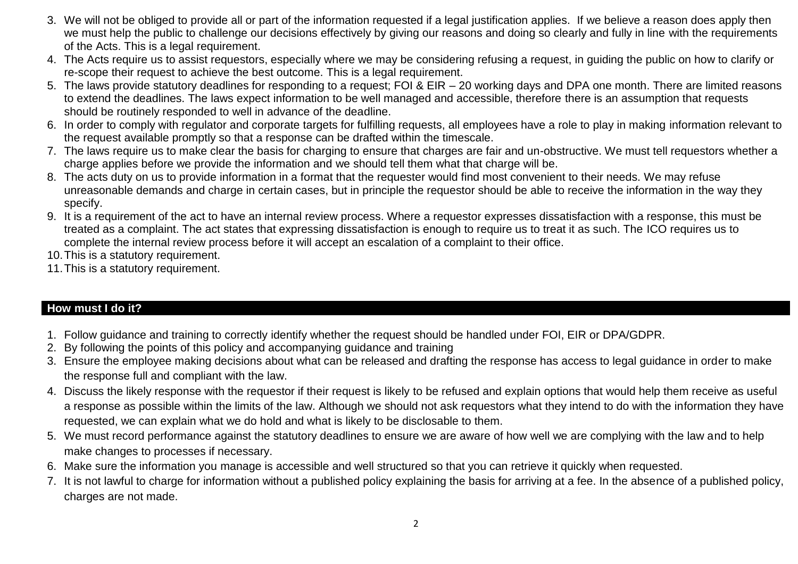- 3. We will not be obliged to provide all or part of the information requested if a legal justification applies. If we believe a reason does apply then we must help the public to challenge our decisions effectively by giving our reasons and doing so clearly and fully in line with the requirements of the Acts. This is a legal requirement.
- 4. The Acts require us to assist requestors, especially where we may be considering refusing a request, in guiding the public on how to clarify or re-scope their request to achieve the best outcome. This is a legal requirement.
- 5. The laws provide statutory deadlines for responding to a request; FOI & EIR 20 working days and DPA one month. There are limited reasons to extend the deadlines. The laws expect information to be well managed and accessible, therefore there is an assumption that requests should be routinely responded to well in advance of the deadline.
- 6. In order to comply with regulator and corporate targets for fulfilling requests, all employees have a role to play in making information relevant to the request available promptly so that a response can be drafted within the timescale.
- 7. The laws require us to make clear the basis for charging to ensure that charges are fair and un-obstructive. We must tell requestors whether a charge applies before we provide the information and we should tell them what that charge will be.
- 8. The acts duty on us to provide information in a format that the requester would find most convenient to their needs. We may refuse unreasonable demands and charge in certain cases, but in principle the requestor should be able to receive the information in the way they specify.
- 9. It is a requirement of the act to have an internal review process. Where a requestor expresses dissatisfaction with a response, this must be treated as a complaint. The act states that expressing dissatisfaction is enough to require us to treat it as such. The ICO requires us to complete the internal review process before it will accept an escalation of a complaint to their office.
- 10.This is a statutory requirement.
- 11.This is a statutory requirement.

## **How must I do it?**

- 1. Follow guidance and training to correctly identify whether the request should be handled under FOI, EIR or DPA/GDPR.
- 2. By following the points of this policy and accompanying guidance and training
- 3. Ensure the employee making decisions about what can be released and drafting the response has access to legal guidance in order to make the response full and compliant with the law.
- 4. Discuss the likely response with the requestor if their request is likely to be refused and explain options that would help them receive as useful a response as possible within the limits of the law. Although we should not ask requestors what they intend to do with the information they have requested, we can explain what we do hold and what is likely to be disclosable to them.
- 5. We must record performance against the statutory deadlines to ensure we are aware of how well we are complying with the law and to help make changes to processes if necessary.
- 6. Make sure the information you manage is accessible and well structured so that you can retrieve it quickly when requested.
- 7. It is not lawful to charge for information without a published policy explaining the basis for arriving at a fee. In the absence of a published policy, charges are not made.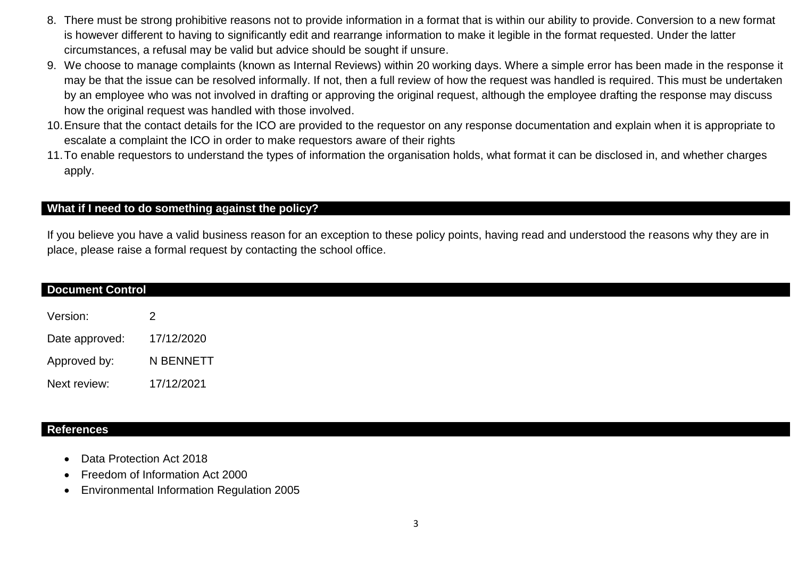- 8. There must be strong prohibitive reasons not to provide information in a format that is within our ability to provide. Conversion to a new format is however different to having to significantly edit and rearrange information to make it legible in the format requested. Under the latter circumstances, a refusal may be valid but advice should be sought if unsure.
- 9. We choose to manage complaints (known as Internal Reviews) within 20 working days. Where a simple error has been made in the response it may be that the issue can be resolved informally. If not, then a full review of how the request was handled is required. This must be undertaken by an employee who was not involved in drafting or approving the original request, although the employee drafting the response may discuss how the original request was handled with those involved.
- 10.Ensure that the contact details for the ICO are provided to the requestor on any response documentation and explain when it is appropriate to escalate a complaint the ICO in order to make requestors aware of their rights
- 11.To enable requestors to understand the types of information the organisation holds, what format it can be disclosed in, and whether charges apply.

#### **What if I need to do something against the policy?**

If you believe you have a valid business reason for an exception to these policy points, having read and understood the reasons why they are in place, please raise a formal request by contacting the school office.

| <b>Document Control</b> |                |
|-------------------------|----------------|
| Version:                | $\overline{2}$ |
| Date approved:          | 17/12/2020     |
| Approved by:            | N BENNETT      |
| Next review:            | 17/12/2021     |

#### **References**

- Data Protection Act 2018
- Freedom of Information Act 2000
- Environmental Information Regulation 2005